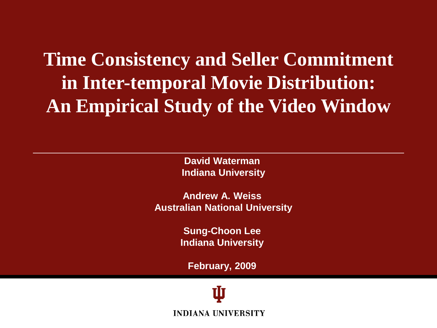**Time Consistency and Seller Commitment in Inter-temporal Movie Distribution: An Empirical Study of the Video Window**

> **David Waterman Indiana University**

**Andrew A. Weiss Australian National University**

> **Sung-Choon Lee Indiana University**

**February, 2009**

**INDIANA UNIVERSITY**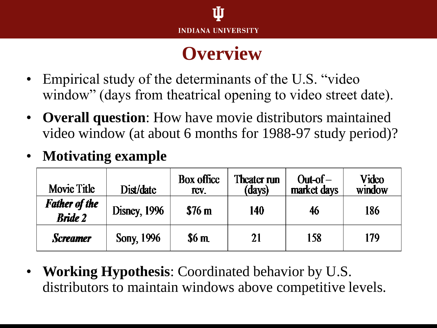#### **Overview**

- Empirical study of the determinants of the U.S. "video" window" (days from theatrical opening to video street date).
- **Overall question**: How have movie distributors maintained video window (at about 6 months for 1988-97 study period)?

#### • **Motivating example**

| Movie Title                            | Dist/date            | <b>Box office</b><br>ICV. | Theater run<br>(days) | $Out-of-$<br>market days | Video<br>window |
|----------------------------------------|----------------------|---------------------------|-----------------------|--------------------------|-----------------|
| <b>Father of the</b><br><b>Bride 2</b> | <b>Disney</b> , 1996 | \$76 <sub>m</sub>         | 140                   | 46                       | 186             |
| <b>Screamer</b>                        | Sony, 1996           | \$6m                      | 21                    | 158                      | 179             |

• **Working Hypothesis**: Coordinated behavior by U.S. distributors to maintain windows above competitive levels.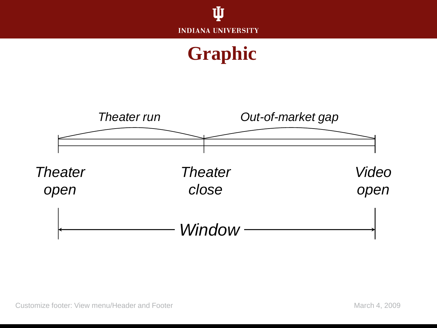

#### **Graphic**

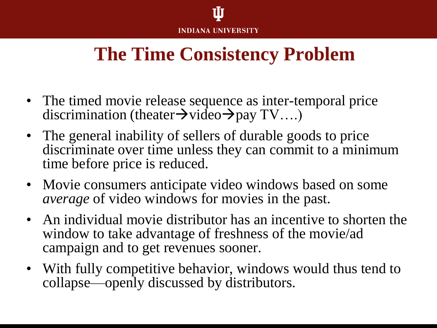

#### **The Time Consistency Problem**

- The timed movie release sequence as inter-temporal price discrimination (theater $\rightarrow$ video $\rightarrow$ pay TV....)
- The general inability of sellers of durable goods to price discriminate over time unless they can commit to a minimum time before price is reduced.
- Movie consumers anticipate video windows based on some *average* of video windows for movies in the past.
- An individual movie distributor has an incentive to shorten the window to take advantage of freshness of the movie/ad campaign and to get revenues sooner.
- With fully competitive behavior, windows would thus tend to collapse—openly discussed by distributors.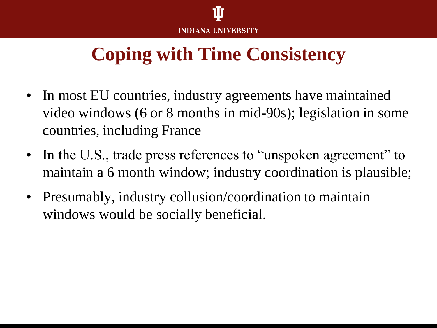## **Coping with Time Consistency**

- In most EU countries, industry agreements have maintained video windows (6 or 8 months in mid-90s); legislation in some countries, including France
- In the U.S., trade press references to "unspoken agreement" to maintain a 6 month window; industry coordination is plausible;
- Presumably, industry collusion/coordination to maintain windows would be socially beneficial.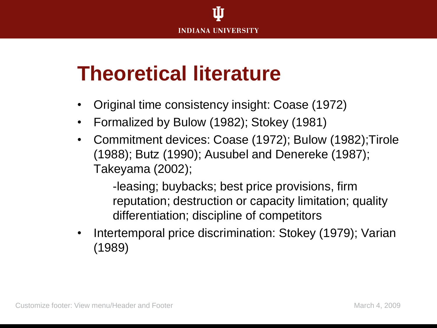## **Theoretical literature**

- Original time consistency insight: Coase (1972)
- Formalized by Bulow (1982); Stokey (1981)
- Commitment devices: Coase (1972); Bulow (1982);Tirole (1988); Butz (1990); Ausubel and Denereke (1987); Takeyama (2002);

-leasing; buybacks; best price provisions, firm reputation; destruction or capacity limitation; quality differentiation; discipline of competitors

• Intertemporal price discrimination: Stokey (1979); Varian (1989)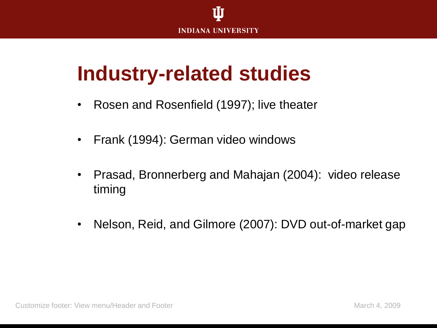

## **Industry-related studies**

- Rosen and Rosenfield (1997); live theater
- Frank (1994): German video windows
- Prasad, Bronnerberg and Mahajan (2004): video release timing
- Nelson, Reid, and Gilmore (2007): DVD out-of-market gap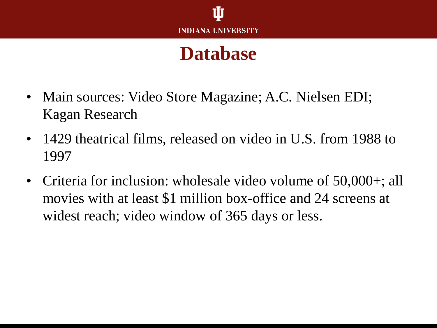#### **Database**

- Main sources: Video Store Magazine; A.C. Nielsen EDI; Kagan Research
- 1429 theatrical films, released on video in U.S. from 1988 to 1997
- Criteria for inclusion: wholesale video volume of 50,000+; all movies with at least \$1 million box-office and 24 screens at widest reach; video window of 365 days or less.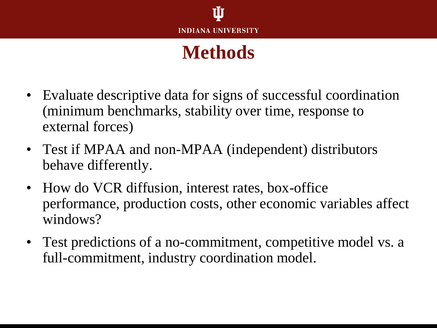#### **Methods**

- Evaluate descriptive data for signs of successful coordination (minimum benchmarks, stability over time, response to external forces)
- Test if MPAA and non-MPAA (independent) distributors behave differently.
- How do VCR diffusion, interest rates, box-office performance, production costs, other economic variables affect windows?
- Test predictions of a no-commitment, competitive model vs. a full-commitment, industry coordination model.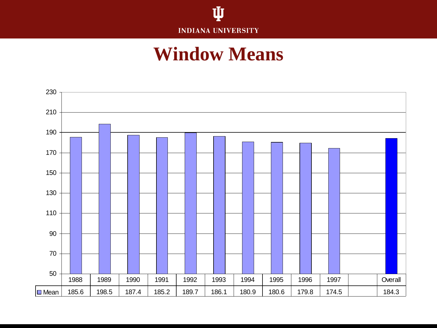

#### **Window Means**

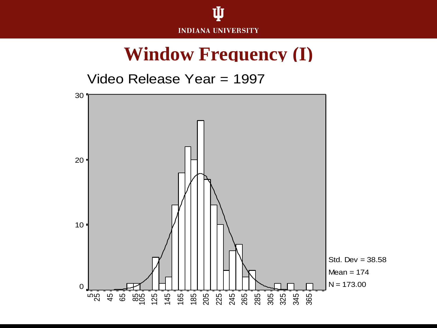

#### **Window Frequency (I)**

Video Release Year = 1997

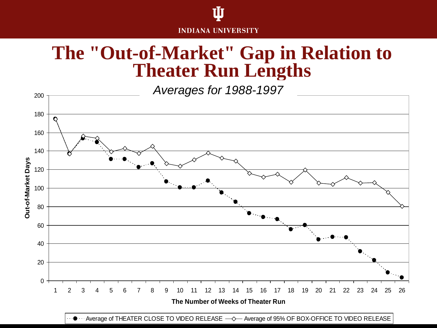# **INDIANA UNIVERSITY**

#### **The "Out-of-Market" Gap in Relation to Theater Run Lengths**

*Averages for 1988-1997*



 $\bullet$   $\cdot\cdot$  Average of THEATER CLOSE TO VIDEO RELEASE  $-\diamond$  Average of 95% OF BOX-OFFICE TO VIDEO RELEASE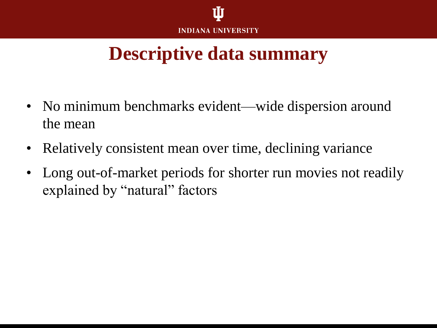#### **Descriptive data summary**

- No minimum benchmarks evident—wide dispersion around the mean
- Relatively consistent mean over time, declining variance
- Long out-of-market periods for shorter run movies not readily explained by "natural" factors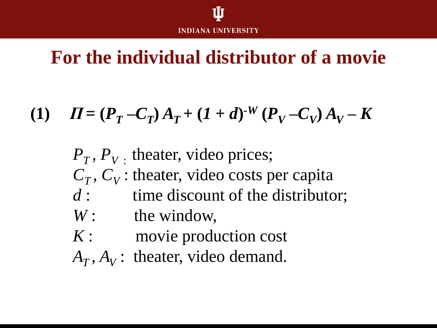#### **For the individual distributor of a movie**

### (1)  $\Pi = (P_T - C_T)A_T + (1 + d)^{-W} (P_V - C_V)A_V - K$

 $P_T$ ,  $P_V$ . theater, video prices;  $C_T$ ,  $C_V$ : theater, video costs per capita *d* : time discount of the distributor; *W*: the window, *K* : movie production cost  $A_T$ ,  $A_V$ : theater, video demand.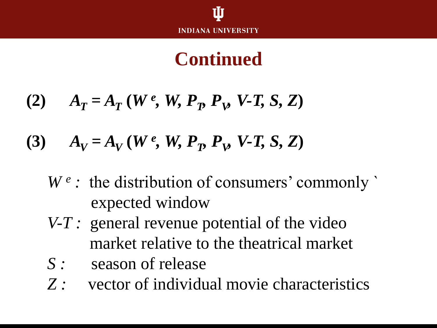#### **Continued**

$$
(2) \qquad A_T = A_T(W^e, W, P_p, P_p, V-T, S, Z)
$$

(3) 
$$
A_V = A_V(W^e, W, P_p, P_W V - T, S, Z)
$$

- W<sup>e</sup>: the distribution of consumers' commonly expected window
- *V-T :* general revenue potential of the video market relative to the theatrical market
- S : season of release
- *Z :* vector of individual movie characteristics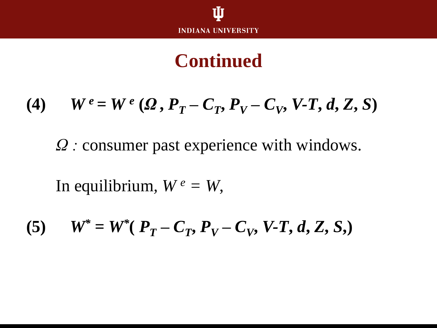#### **Continued**

(4) 
$$
W^e = W^e(\Omega, P_T - C_T, P_V - C_V, V-T, d, Z, S)
$$

*Ω :* consumer past experience with windows.

In equilibrium,  $W^e = W$ ,

(5) 
$$
W^* = W^*(P_T - C_T, P_V - C_V, V-T, d, Z, S)
$$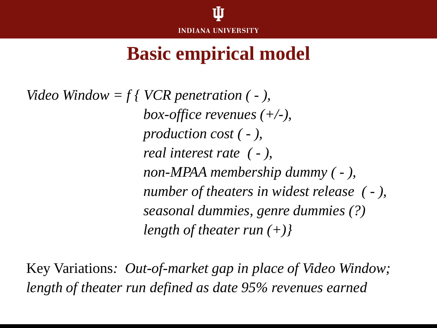

#### **Basic empirical model**

*Video Window = f { VCR penetration ( - ), box-office revenues (+/-), production cost ( - ), real interest rate ( - ), non-MPAA membership dummy ( - ), number of theaters in widest release ( - ), seasonal dummies, genre dummies (?) length of theater run (+)}*

Key Variations*: Out-of-market gap in place of Video Window; length of theater run defined as date 95% revenues earned*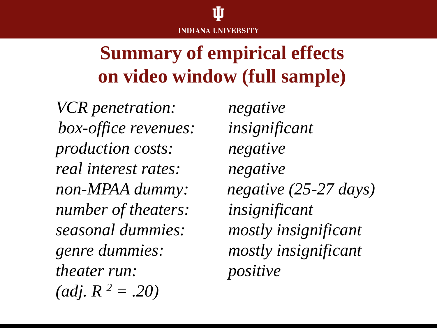

## **Summary of empirical effects on video window (full sample)**

*VCR penetration: negative box-office revenues: insignificant production costs: negative real interest rates: negative number of theaters: insignificant seasonal dummies: mostly insignificant genre dummies: mostly insignificant theater run: positive*  $\text{(adj. } R^2 = .20\text{)}$ 

*non-MPAA dummy: negative (25-27 days)*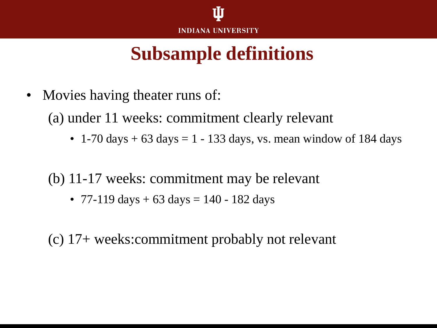#### **Subsample definitions**

• Movies having theater runs of:

(a) under 11 weeks: commitment clearly relevant

• 1-70 days  $+ 63$  days  $= 1 - 133$  days, vs. mean window of 184 days

(b) 11-17 weeks: commitment may be relevant

• 77-119 days  $+ 63 \text{ days} = 140 - 182 \text{ days}$ 

(c) 17+ weeks:commitment probably not relevant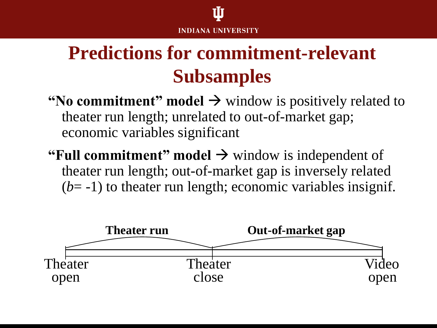## **Predictions for commitment-relevant Subsamples**

- **"No commitment" model**  $\rightarrow$  window is positively related to theater run length; unrelated to out-of-market gap; economic variables significant
- **"Full commitment" model**  $\rightarrow$  window is independent of theater run length; out-of-market gap is inversely related  $(b=-1)$  to theater run length; economic variables insignif.

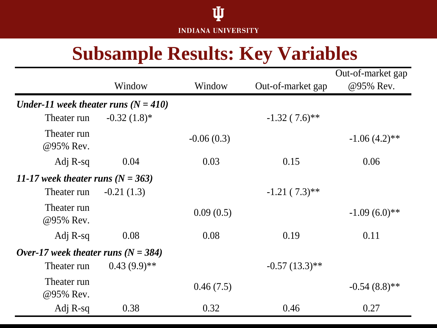

#### **Subsample Results: Key Variables**

|                                        | Window         | Window       | Out-of-market gap | Out-of-market gap<br>@95% Rev. |
|----------------------------------------|----------------|--------------|-------------------|--------------------------------|
| Under-11 week theater runs $(N = 410)$ |                |              |                   |                                |
| Theater run                            | $-0.32(1.8)$ * |              | $-1.32(7.6)$ **   |                                |
| Theater run<br>@95% Rev.               |                | $-0.06(0.3)$ |                   | $-1.06(4.2)$ **                |
| Adj R-sq                               | 0.04           | 0.03         | 0.15              | 0.06                           |
| 11-17 week theater runs $(N = 363)$    |                |              |                   |                                |
| Theater run                            | $-0.21(1.3)$   |              | $-1.21(7.3)$ **   |                                |
| Theater run<br>@95% Rev.               |                | 0.09(0.5)    |                   | $-1.09(6.0)**$                 |
| Adj $R$ -sq                            | 0.08           | 0.08         | 0.19              | 0.11                           |
| Over-17 week theater runs $(N = 384)$  |                |              |                   |                                |
| Theater run                            | $0.43(9.9)**$  |              | $-0.57(13.3)$ **  |                                |
| Theater run<br>@95% Rev.               |                | 0.46(7.5)    |                   | $-0.54(8.8)$ **                |
| Adj R-sq                               | 0.38           | 0.32         | 0.46              | 0.27                           |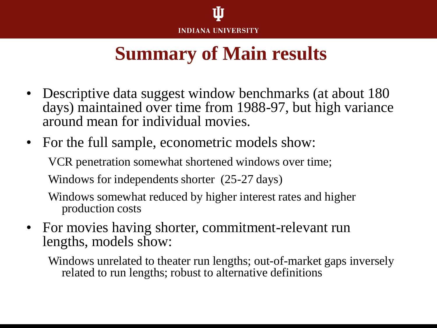

#### **Summary of Main results**

- Descriptive data suggest window benchmarks (at about 180 days) maintained over time from 1988-97, but high variance around mean for individual movies.
- For the full sample, econometric models show: VCR penetration somewhat shortened windows over time; Windows for independents shorter (25-27 days) Windows somewhat reduced by higher interest rates and higher
	- production costs
- For movies having shorter, commitment-relevant run lengths, models show:
	- Windows unrelated to theater run lengths; out-of-market gaps inversely related to run lengths; robust to alternative definitions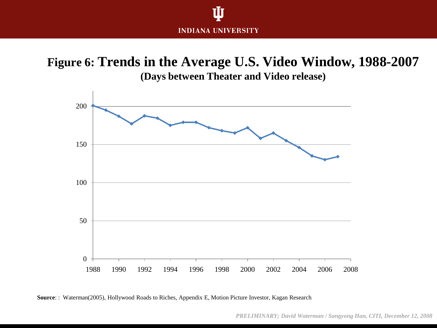

**Figure 6: Trends in the Average U.S. Video Window, 1988-2007 (Days between Theater and Video release)**



**Source**: : Waterman(2005), Hollywood Roads to Riches, Appendix E, Motion Picture Investor, Kagan Research

*PRELIMINARY; David Waterman / Sangyong Han, CITI, December 12, 2008*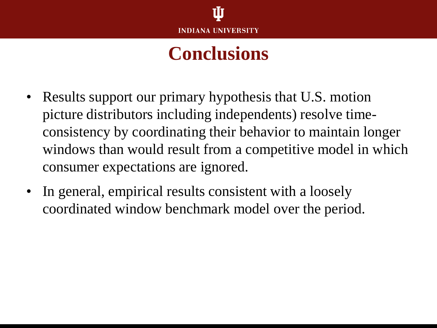#### **Conclusions**

- Results support our primary hypothesis that U.S. motion picture distributors including independents) resolve timeconsistency by coordinating their behavior to maintain longer windows than would result from a competitive model in which consumer expectations are ignored.
- In general, empirical results consistent with a loosely coordinated window benchmark model over the period.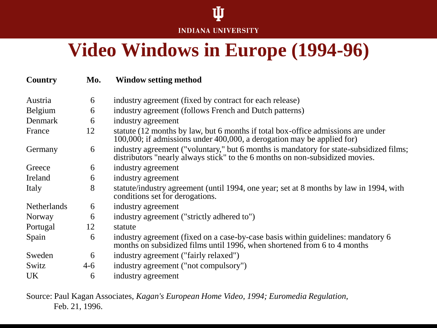#### **INDIANA UNIVERSITY**

Ŵ

#### **Video Windows in Europe (1994-96)**

| Country            | Mo.   | <b>Window setting method</b>                                                                                                                                           |
|--------------------|-------|------------------------------------------------------------------------------------------------------------------------------------------------------------------------|
| Austria            | 6     | industry agreement (fixed by contract for each release)                                                                                                                |
| <b>Belgium</b>     | 6     | industry agreement (follows French and Dutch patterns)                                                                                                                 |
| Denmark            | 6     | industry agreement                                                                                                                                                     |
| France             | 12    | statute (12 months by law, but 6 months if total box-office admissions are under<br>100,000; if admissions under 400,000, a derogation may be applied for)             |
| Germany            | 6     | industry agreement ("voluntary," but 6 months is mandatory for state-subsidized films;<br>distributors "nearly always stick" to the 6 months on non-subsidized movies. |
| Greece             | 6     | industry agreement                                                                                                                                                     |
| Ireland            | 6     | industry agreement                                                                                                                                                     |
| Italy              | 8     | statute/industry agreement (until 1994, one year; set at 8 months by law in 1994, with<br>conditions set for derogations.                                              |
| <b>Netherlands</b> | 6     | industry agreement                                                                                                                                                     |
| Norway             | 6     | industry agreement ("strictly adhered to")                                                                                                                             |
| Portugal           | 12    | statute                                                                                                                                                                |
| Spain              | 6     | industry agreement (fixed on a case-by-case basis within guidelines: mandatory 6<br>months on subsidized films until 1996, when shortened from 6 to 4 months           |
| Sweden             | 6     | industry agreement ("fairly relaxed")                                                                                                                                  |
| Switz              | $4-6$ | industry agreement ("not compulsory")                                                                                                                                  |
| <b>UK</b>          | 6     | industry agreement                                                                                                                                                     |

Source: Paul Kagan Associates, *Kagan's European Home Video, 1994; Euromedia Regulation,*  Feb. 21, 1996.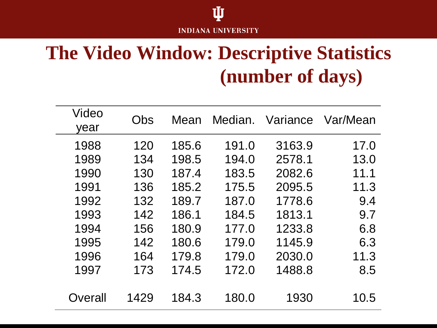#### Ú **INDIANA UNIVERSITY**

### **The Video Window: Descriptive Statistics (number of days)**

| Video<br>year | Obs  | Mean  |       | Median. Variance | Var/Mean |
|---------------|------|-------|-------|------------------|----------|
| 1988          | 120  | 185.6 | 191.0 | 3163.9           | 17.0     |
| 1989          | 134  | 198.5 | 194.0 | 2578.1           | 13.0     |
| 1990          | 130  | 187.4 | 183.5 | 2082.6           | 11.1     |
| 1991          | 136  | 185.2 | 175.5 | 2095.5           | 11.3     |
| 1992          | 132  | 189.7 | 187.0 | 1778.6           | 9.4      |
| 1993          | 142  | 186.1 | 184.5 | 1813.1           | 9.7      |
| 1994          | 156  | 180.9 | 177.0 | 1233.8           | 6.8      |
| 1995          | 142  | 180.6 | 179.0 | 1145.9           | 6.3      |
| 1996          | 164  | 179.8 | 179.0 | 2030.0           | 11.3     |
| 1997          | 173  | 174.5 | 172.0 | 1488.8           | 8.5      |
|               |      |       |       |                  |          |
| Overall       | 1429 | 184.3 | 180.0 | 1930             | 10.5     |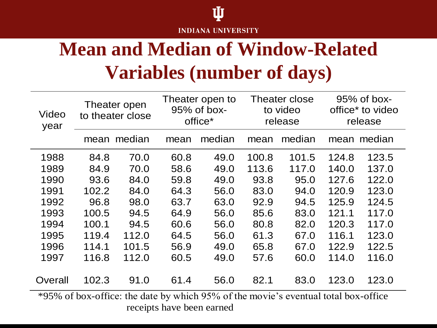

## **Mean and Median of Window-Related Variables (number of days)**

| Video<br>year | Theater open<br>to theater close |        | Theater open to<br>$95%$ of box-<br>office* |        | Theater close<br>to video<br>release |        | $95%$ of box-<br>office <sup>*</sup> to video<br>release |             |
|---------------|----------------------------------|--------|---------------------------------------------|--------|--------------------------------------|--------|----------------------------------------------------------|-------------|
|               | mean                             | median | mean                                        | median | mean                                 | median |                                                          | mean median |
| 1988          | 84.8                             | 70.0   | 60.8                                        | 49.0   | 100.8                                | 101.5  | 124.8                                                    | 123.5       |
| 1989          | 84.9                             | 70.0   | 58.6                                        | 49.0   | 113.6                                | 117.0  | 140.0                                                    | 137.0       |
| 1990          | 93.6                             | 84.0   | 59.8                                        | 49.0   | 93.8                                 | 95.0   | 127.6                                                    | 122.0       |
| 1991          | 102.2                            | 84.0   | 64.3                                        | 56.0   | 83.0                                 | 94.0   | 120.9                                                    | 123.0       |
| 1992          | 96.8                             | 98.0   | 63.7                                        | 63.0   | 92.9                                 | 94.5   | 125.9                                                    | 124.5       |
| 1993          | 100.5                            | 94.5   | 64.9                                        | 56.0   | 85.6                                 | 83.0   | 121.1                                                    | 117.0       |
| 1994          | 100.1                            | 94.5   | 60.6                                        | 56.0   | 80.8                                 | 82.0   | 120.3                                                    | 117.0       |
| 1995          | 119.4                            | 112.0  | 64.5                                        | 56.0   | 61.3                                 | 67.0   | 116.1                                                    | 123.0       |
| 1996          | 114.1                            | 101.5  | 56.9                                        | 49.0   | 65.8                                 | 67.0   | 122.9                                                    | 122.5       |
| 1997          | 116.8                            | 112.0  | 60.5                                        | 49.0   | 57.6                                 | 60.0   | 114.0                                                    | 116.0       |
| Overall       | 102.3                            | 91.0   | 61.4                                        | 56.0   | 82.1                                 | 83.0   | 123.0                                                    | 123.0       |

\*95% of box-office: the date by which 95% of the movie's eventual total box-office receipts have been earned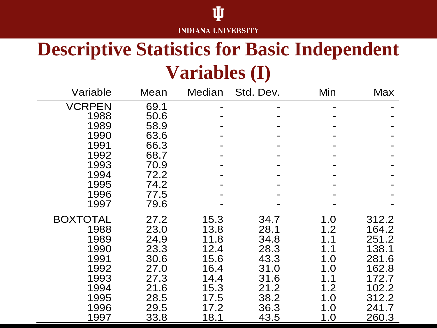#### **INDIANA UNIVERSITY**

Ů

#### **Descriptive Statistics for Basic Independent Variables (I)**

| Variable        | Mean | <b>Median</b> | Std. Dev. | Min | <b>Max</b> |
|-----------------|------|---------------|-----------|-----|------------|
| <b>VCRPEN</b>   | 69.1 |               |           |     |            |
| 1988            | 50.6 |               |           |     |            |
| 1989            | 58.9 |               |           |     |            |
| 1990            | 63.6 |               |           |     |            |
| 1991            | 66.3 |               |           |     |            |
| 1992            | 68.7 |               |           |     |            |
| 1993            | 70.9 |               |           |     |            |
| 1994            | 72.2 |               |           |     |            |
| 1995            | 74.2 |               |           |     |            |
| 1996            | 77.5 |               |           |     |            |
| 1997            | 79.6 |               |           |     |            |
| <b>BOXTOTAL</b> | 27.2 | 15.3          | 34.7      | 1.0 | 312.2      |
| 1988            | 23.0 | 13.8          | 28.1      | 1.2 | 164.2      |
| 1989            | 24.9 | 11.8          | 34.8      | 1.1 | 251.2      |
| 1990            | 23.3 | 12.4          | 28.3      | 1.1 | 138.1      |
| 1991            | 30.6 | 15.6          | 43.3      | 1.0 | 281.6      |
| 1992            | 27.0 | 16.4          | 31.0      | 1.0 | 162.8      |
| 1993            | 27.3 | 14.4          | 31.6      | 1.1 | 172.7      |
| 1994            | 21.6 | 15.3          | 21.2      | 1.2 | 102.2      |
| 1995            | 28.5 | 17.5          | 38.2      | 1.0 | 312.2      |
| 1996            | 29.5 | 17.2          | 36.3      | 1.0 | 241.7      |
| 1997            | 33.8 | 18.1          | 43.5      | 1.0 | 260.3      |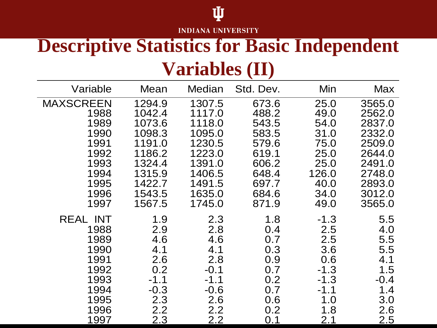#### **INDIANA UNIVERSITY**

Ů

#### **Descriptive Statistics for Basic Independent Variables (II)**

| Variable         | Mean   | Median | Std. Dev. | Min    | <b>Max</b> |
|------------------|--------|--------|-----------|--------|------------|
| <b>MAXSCREEN</b> | 1294.9 | 1307.5 | 673.6     | 25.0   | 3565.0     |
| 1988             | 1042.4 | 1117.0 | 488.2     | 49.0   | 2562.0     |
| 1989             | 1073.6 | 1118.0 | 543.5     | 54.0   | 2837.0     |
| 1990             | 1098.3 | 1095.0 | 583.5     | 31.0   | 2332.0     |
| 1991             | 1191.0 | 1230.5 | 579.6     | 75.0   | 2509.0     |
| 1992             | 1186.2 | 1223.0 | 619.1     | 25.0   | 2644.0     |
| 1993             | 1324.4 | 1391.0 | 606.2     | 25.0   | 2491.0     |
| 1994             | 1315.9 | 1406.5 | 648.4     | 126.0  | 2748.0     |
| 1995             | 1422.7 | 1491.5 | 697.7     | 40.0   | 2893.0     |
| 1996             | 1543.5 | 1635.0 | 684.6     | 34.0   | 3012.0     |
| 1997             | 1567.5 | 1745.0 | 871.9     | 49.0   | 3565.0     |
| <b>REAL INT</b>  | 1.9    | 2.3    | 1.8       | $-1.3$ | 5.5        |
| 1988             | 2.9    | 2.8    | 0.4       | 2.5    | 4.0        |
| 1989             | 4.6    | 4.6    | 0.7       | 2.5    | 5.5        |
| 1990             | 4.1    | 4.1    | 0.3       | 3.6    | 5.5        |
| 1991             | 2.6    | 2.8    | 0.9       | 0.6    | 4.1        |
| 1992             | 0.2    | $-0.1$ | 0.7       | $-1.3$ | 1.5        |
| 1993             | $-1.1$ | $-1.1$ | 0.2       | $-1.3$ | $-0.4$     |
| 1994             | $-0.3$ | $-0.6$ | 0.7       | $-1.1$ | 1.4        |
| 1995             | 2.3    | 2.6    | 0.6       | 1.0    | 3.0        |
| 1996             | 2.2    | 2.2    | 0.2       | 1.8    | 2.6        |
| 1997             | 2.3    | 2.2    | 0.1       | 2.1    | 2.5        |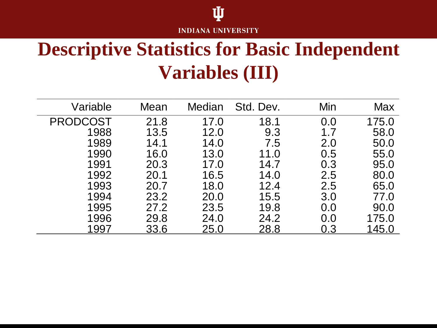#### Ů **INDIANA UNIVERSITY**

### **Descriptive Statistics for Basic Independent Variables (III)**

| Variable        | Mean | Median | Std. Dev. | Min | Max   |
|-----------------|------|--------|-----------|-----|-------|
| <b>PRODCOST</b> | 21.8 | 17.0   | 18.1      | 0.0 | 175.0 |
| 1988            | 13.5 | 12.0   | 9.3       | 1.7 | 58.0  |
| 1989            | 14.1 | 14.0   | 7.5       | 2.0 | 50.0  |
| 1990            | 16.0 | 13.0   | 11.0      | 0.5 | 55.0  |
| 1991            | 20.3 | 17.0   | 14.7      | 0.3 | 95.0  |
| 1992            | 20.1 | 16.5   | 14.0      | 2.5 | 80.0  |
| 1993            | 20.7 | 18.0   | 12.4      | 2.5 | 65.0  |
| 1994            | 23.2 | 20.0   | 15.5      | 3.0 | 77.0  |
| 1995            | 27.2 | 23.5   | 19.8      | 0.0 | 90.0  |
| 1996            | 29.8 | 24.0   | 24.2      | 0.0 | 175.0 |
| 1997            | 33.6 | 25.0   | 28.8      | 0.3 | 145.0 |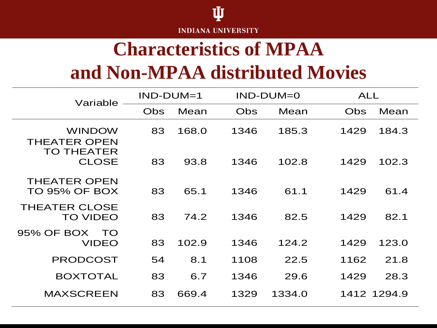

#### **Characteristics of MPAA and Non-MPAA distributed Movies**

| Variable                                                  | $IND-DUM=1$ |       | $IND-DUM=0$ |        | <b>ALL</b>         |
|-----------------------------------------------------------|-------------|-------|-------------|--------|--------------------|
|                                                           | Obs         | Mean  | Obs         | Mean   | Mean<br><b>Obs</b> |
| <b>WINDOW</b><br><b>THEATER OPEN</b><br><b>TO THEATER</b> | 83          | 168.0 | 1346        | 185.3  | 1429<br>184.3      |
| <b>CLOSE</b>                                              | 83          | 93.8  | 1346        | 102.8  | 102.3<br>1429      |
| <b>THEATER OPEN</b><br><b>TO 95% OF BOX</b>               | 83          | 65.1  | 1346        | 61.1   | 61.4<br>1429       |
| <b>THEATER CLOSE</b><br><b>TO VIDEO</b>                   | 83          | 74.2  | 1346        | 82.5   | 82.1<br>1429       |
| 95% OF BOX<br>TO<br><b>VIDEO</b>                          | 83          | 102.9 | 1346        | 124.2  | 1429<br>123.0      |
| <b>PRODCOST</b>                                           | 54          | 8.1   | 1108        | 22.5   | 21.8<br>1162       |
| <b>BOXTOTAL</b>                                           | 83          | 6.7   | 1346        | 29.6   | 1429<br>28.3       |
| <b>MAXSCREEN</b>                                          | 83          | 669.4 | 1329        | 1334.0 | 1412 1294.9        |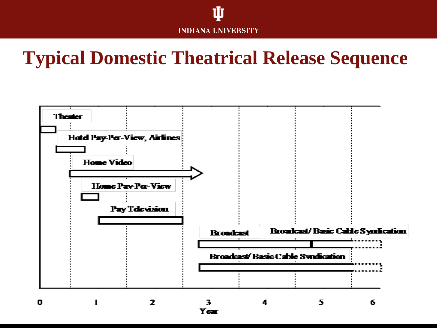

#### **Typical Domestic Theatrical Release Sequence**

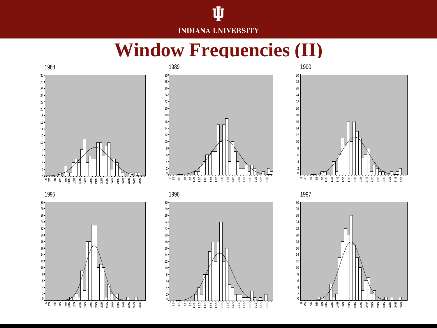#### Ŵ **INDIANA UNIVERSITY**

#### **Window Frequencies (II)**



92<br>32<br>35<br>36

n n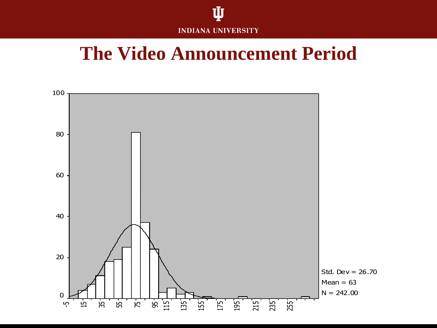

#### **The Video Announcement Period**

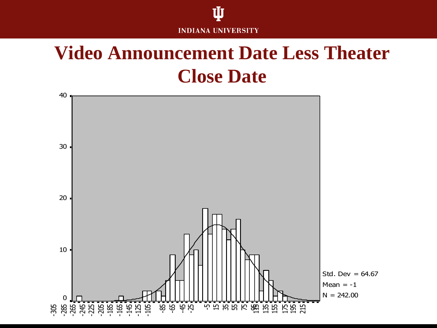

#### **Video Announcement Date Less Theater Close Date**

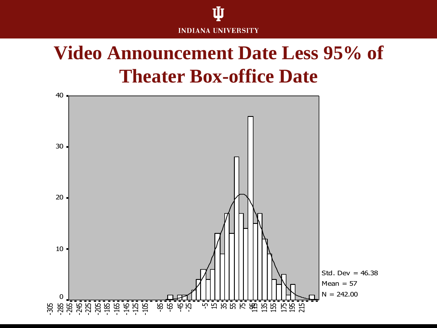

#### **Video Announcement Date Less 95% of Theater Box-office Date**